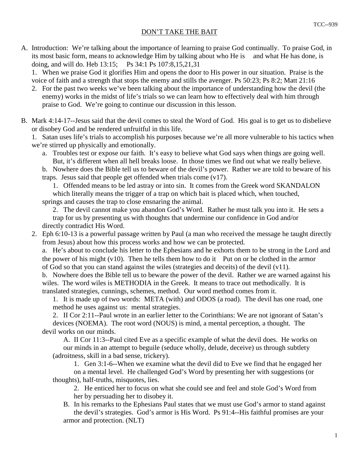## DON'T TAKE THE BAIT

A. Introduction: We're talking about the importance of learning to praise God continually. To praise God, in its most basic form, means to acknowledge Him by talking about who He is and what He has done, is doing, and will do. Heb 13:15; Ps 34:1 Ps 107:8,15,21,31

 1. When we praise God it glorifies Him and opens the door to His power in our situation. Praise is the voice of faith and a strength that stops the enemy and stills the avenger. Ps 50:23; Ps 8:2; Matt 21:16

- 2. For the past two weeks we've been talking about the importance of understanding how the devil (the enemy) works in the midst of life's trials so we can learn how to effectively deal with him through praise to God. We're going to continue our discussion in this lesson.
- B. Mark 4:14-17--Jesus said that the devil comes to steal the Word of God. His goal is to get us to disbelieve or disobey God and be rendered unfruitful in this life.

 1. Satan uses life's trials to accomplish his purposes because we're all more vulnerable to his tactics when we're stirred up physically and emotionally.

 a. Troubles test or expose our faith. It's easy to believe what God says when things are going well. But, it's different when all hell breaks loose. In those times we find out what we really believe.

 b. Nowhere does the Bible tell us to beware of the devil's power. Rather we are told to beware of his traps. Jesus said that people get offended when trials come (v17).

 1. Offended means to be led astray or into sin. It comes from the Greek word SKANDALON which literally means the trigger of a trap on which bait is placed which, when touched,

springs and causes the trap to close ensnaring the animal.

 2. The devil cannot make you abandon God's Word. Rather he must talk you into it. He sets a trap for us by presenting us with thoughts that undermine our confidence in God and/or directly contradict His Word.

 2. Eph 6:10-13 is a powerful passage written by Paul (a man who received the message he taught directly from Jesus) about how this process works and how we can be protected.

 a. He's about to conclude his letter to the Ephesians and he exhorts them to be strong in the Lord and the power of his might  $(v10)$ . Then he tells them how to do it—Put on or be clothed in the armor of God so that you can stand against the wiles (strategies and deceits) of the devil (v11).

 b. Nowhere does the Bible tell us to beware the power of the devil. Rather we are warned against his wiles. The word wiles is METHODIA in the Greek. It means to trace out methodically. It is translated strategies, cunnings, schemes, method. Our word method comes from it.

 1. It is made up of two words: META (with) and ODOS (a road). The devil has one road, one method he uses against us: mental strategies.

 2. II Cor 2:11--Paul wrote in an earlier letter to the Corinthians: We are not ignorant of Satan's devices (NOEMA). The root word (NOUS) is mind, a mental perception, a thought. The devil works on our minds.

 A. II Cor 11:3--Paul cited Eve as a specific example of what the devil does. He works on our minds in an attempt to beguile (seduce wholly, delude, deceive) us through subtlety (adroitness, skill in a bad sense, trickery).

 1. Gen 3:1-6--When we examine what the devil did to Eve we find that he engaged her on a mental level. He challenged God's Word by presenting her with suggestions (or thoughts), half-truths, misquotes, lies.

 2. He enticed her to focus on what she could see and feel and stole God's Word from her by persuading her to disobey it.

 B. In his remarks to the Ephesians Paul states that we must use God's armor to stand against the devil's strategies. God's armor is His Word. Ps 91:4--His faithful promises are your armor and protection. (NLT)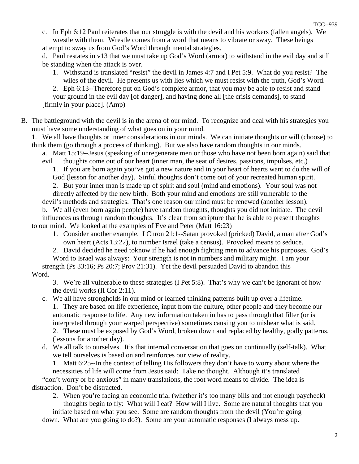c. In Eph 6:12 Paul reiterates that our struggle is with the devil and his workers (fallen angels). We wrestle with them. Wrestle comes from a word that means to vibrate or sway. These beings attempt to sway us from God's Word through mental strategies.

 d. Paul restates in v13 that we must take up God's Word (armor) to withstand in the evil day and still be standing when the attack is over.

- 1. Withstand is translated "resist" the devil in James 4:7 and I Pet 5:9. What do you resist? The wiles of the devil. He presents us with lies which we must resist with the truth, God's Word.
- 2. Eph 6:13--Therefore put on God's complete armor, that you may be able to resist and stand

 your ground in the evil day [of danger], and having done all [the crisis demands], to stand [firmly in your place]. (Amp)

B. The battleground with the devil is in the arena of our mind. To recognize and deal with his strategies you must have some understanding of what goes on in your mind.

 1. We all have thoughts or inner considerations in our minds. We can initiate thoughts or will (choose) to think them (go through a process of thinking). But we also have random thoughts in our minds.

 a. Matt 15:19--Jesus (speaking of unregenerate men or those who have not been born again) said that evil thoughts come out of our heart (inner man, the seat of desires, passions, impulses, etc.)

 1. If you are born again you've got a new nature and in your heart of hearts want to do the will of God (lesson for another day). Sinful thoughts don't come out of your recreated human spirit.

 2. But your inner man is made up of spirit and soul (mind and emotions). Your soul was not directly affected by the new birth. Both your mind and emotions are still vulnerable to the

devil's methods and strategies. That's one reason our mind must be renewed (another lesson).

 b. We all (even born again people) have random thoughts, thoughts you did not initiate. The devil influences us through random thoughts. It's clear from scripture that he is able to present thoughts to our mind. We looked at the examples of Eve and Peter (Matt 16:23)

 1. Consider another example. I Chron 21:1--Satan provoked (pricked) David, a man after God's own heart (Acts 13:22), to number Israel (take a census). Provoked means to seduce.

2. David decided he need toknow if he had enough fighting men to advance his purposes. God's

 Word to Israel was always: Your strength is not in numbers and military might. I am your strength (Ps 33:16; Ps 20:7; Prov 21:31). Yet the devil persuaded David to abandon this Word.

 3. We're all vulnerable to these strategies (I Pet 5:8). That's why we can't be ignorant of how the devil works (II Cor 2:11).

- c. We all have strongholds in our mind or learned thinking patterns built up over a lifetime. 1. They are based on life experience, input from the culture, other people and they become our automatic response to life. Any new information taken in has to pass through that filter (or is interpreted through your warped perspective) sometimes causing you to mishear what is said. 2. These must be exposed by God's Word, broken down and replaced by healthy, godly patterns. (lessons for another day).
- d. We all talk to ourselves. It's that internal conversation that goes on continually (self-talk). What we tell ourselves is based on and reinforces our view of reality.

 1. Matt 6:25--In the context of telling His followers they don't have to worry about where the necessities of life will come from Jesus said: Take no thought. Although it's translated

 "don't worry or be anxious" in many translations, the root word means to divide. The idea is distraction. Don't be distracted.

 2. When you're facing an economic trial (whether it's too many bills and not enough paycheck) thoughts begin to fly: What will I eat? How will I live. Some are natural thoughts that you

 initiate based on what you see. Some are random thoughts from the devil (You're going down. What are you going to do?). Some are your automatic responses (I always mess up.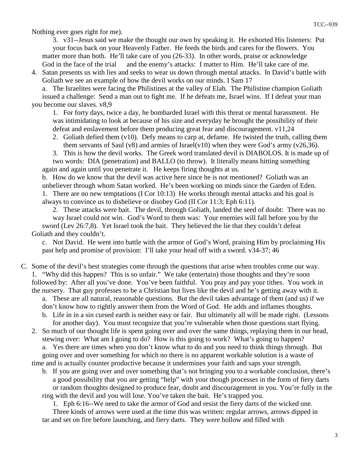Nothing ever goes right for me).

 3. v31--Jesus said we make the thought our own by speaking it. He exhorted His listeners: Put your focus back on your Heavenly Father. He feeds the birds and cares for the flowers. You matter more than both. He'll take care of you (26-33). In other words, praise or acknowledge God in the face of the trial and the enemy's attacks: I matter to Him. He'll take care of me.

 4. Satan presents us with lies and seeks to wear us down through mental attacks. In David's battle with Goliath we see an example of how the devil works on our minds. I Sam 17

 a. The Israelites were facing the Philistines at the valley of Elah. The Philistine champion Goliath issued a challenge: Send a man out to fight me. If he defeats me, Israel wins. If I defeat your man you become our slaves. v8,9

 1. For forty days, twice a day, he bombarded Israel with this threat or mental harassment. He was intimidating to look at because of his size and everyday he brought the possibility of their defeat and enslavement before them producing great fear and discouragement. v11,24

2. Goliath defied them  $(v10)$ . Defy means to carp at, defame. He twisted the truth, calling them them servants of Saul (v8) and armies of Israel(v10) when they were God's army (v26,36).

 3. This is how the devil works. The Greek word translated devil is DIABOLOS. It is made up of two words: DIA (penetration) and BALLO (to throw). It literally means hitting something

 again and again until you penetrate it. He keeps firing thoughts at us. b. How do we know that the devil was active here since he is not mentioned? Goliath was an unbeliever through whom Satan worked. He's been working on minds since the Garden of Eden. 1. There are no new temptations (I Cor 10:13) He works through mental attacks and his goal is

 always to convince us to disbelieve or disobey God (II Cor 11:3; Eph 6:11). 2. These attacks were bait. The devil, through Goliath, landed the seed of doubt: There was no way Israel could not win. God's Word to them was: Your enemies will fall before you by the sword (Lev 26:7,8). Yet Israel took the bait. They believed the lie that they couldn't defeat

## Goliath and they couldn't.

 c. Not David. He went into battle with the armor of God's Word, praising Him by proclaiming His past help and promise of provision: I'll take your head off with a sword. v34-37; 46

C. Some of the devil's best strategies come through the questions that arise when troubles come our way. 1. "Why did this happen? This is so unfair." We take (entertain) those thoughts and they're soon followed by: After all you've done. You've been faithful. You pray and pay your tithes. You work in the nursery. That guy professes to be a Christian but lives like the devil and he's getting away with it.

- a. These are all natural, reasonable questions. But the devil takes advantage of them (and us) if we don't know how to rightly answer them from the Word of God. He adds and inflames thoughts.
	- b. Life in in a sin cursed earth is neither easy or fair. But ultimately all will be made right. (Lessons for another day). You must recognize that you're vulnerable when those questions start flying.

 2. So much of our thought life is spent going over and over the same things, replaying them in our head, stewing over: What am I going to do? How is this going to work? What's going to happen? a. Yes there are times when you don't know what to do and you need to think things through. But going over and over something for which no there is no apparent workable solution is a waste of time and is actually counter productive because it undermines your faith and saps your strength.

 b. If you are going over and over something that's not bringing you to a workable conclusion, there's a good possibility that you are getting "help" with your though processes in the form of fiery darts or random thoughts designed to produce fear, doubt and discouragement in you. You're fully in the ring with the devil and you will lose. You've taken the bait. He's trapped you.

1. Eph 6:16--We need to take the armor of God and resist the fiery darts of the wicked one.

 Three kinds of arrows were used at the time this was written: regular arrows, arrows dipped in tar and set on fire before launching, and fiery darts. They were hollow and filled with